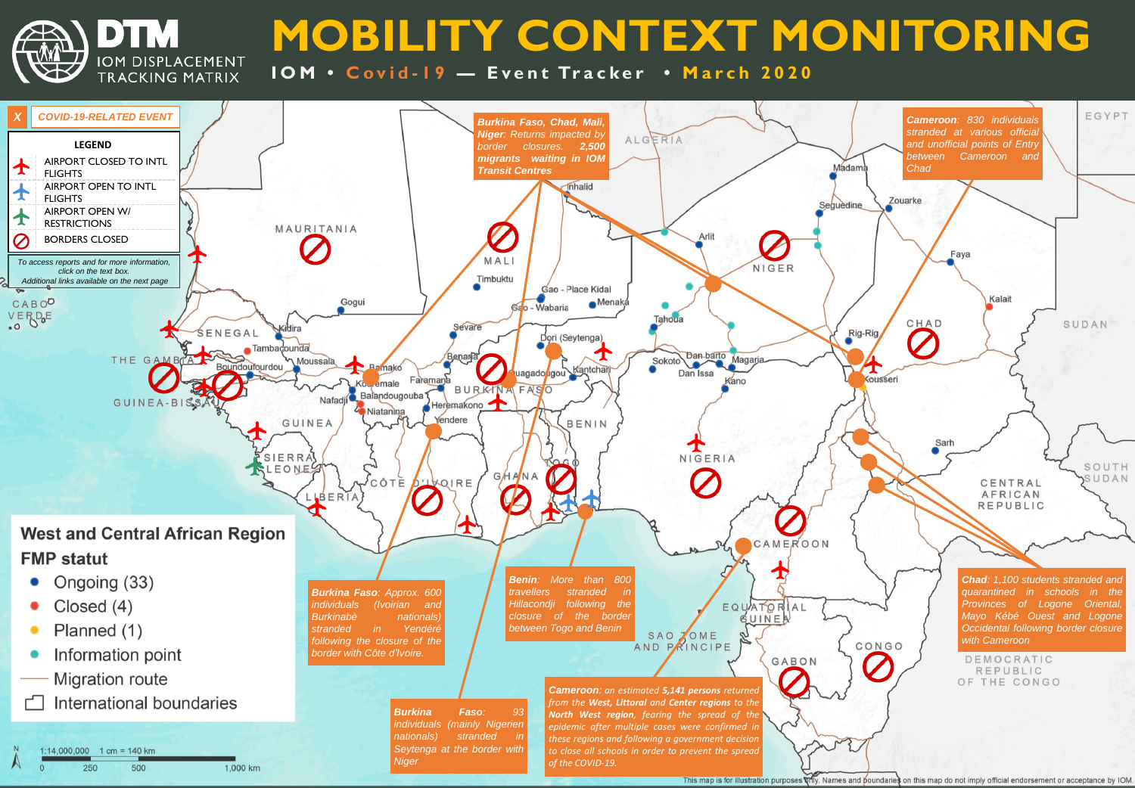**MOBILITY CONTEXT MONITORING**

10M • Covid-19 - Event Tracker • March 2020

DTM